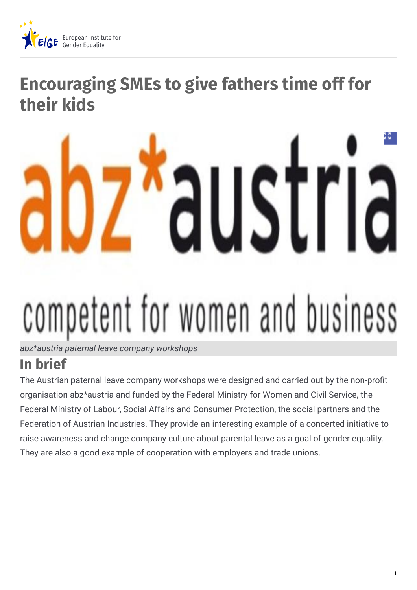

# **Encouraging SMEs to give fathers time off for their kids**

# USI competent for women and business

*abz\*austria paternal leave company workshops*

# **In brief**

The Austrian paternal leave company workshops were designed and carried out by the non-profit organisation abz\*austria and funded by the Federal Ministry for Women and Civil Service, the Federal Ministry of Labour, Social Affairs and Consumer Protection, the social partners and the Federation of Austrian Industries. They provide an interesting example of a concerted initiative to raise awareness and change company culture about parental leave as a goal of gender equality. They are also a good example of cooperation with employers and trade unions.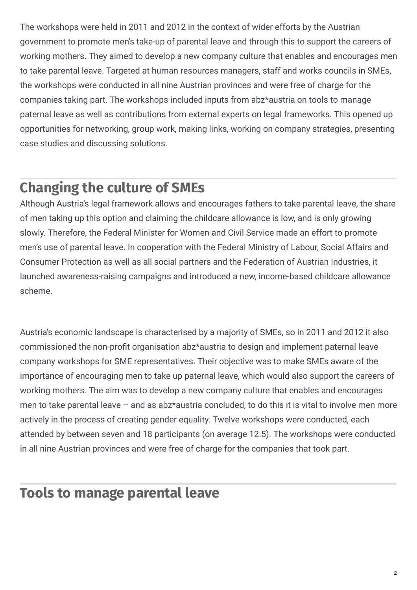The workshops were held in 2011 and 2012 in the context of wider efforts by the Austrian government to promote men's take-up of parental leave and through this to support the careers of working mothers. They aimed to develop a new company culture that enables and encourages men to take parental leave. Targeted at human resources managers, staff and works councils in SMEs, the workshops were conducted in all nine Austrian provinces and were free of charge for the companies taking part. The workshops included inputs from abz\*austria on tools to manage paternal leave as well as contributions from external experts on legal frameworks. This opened up opportunities for networking, group work, making links, working on company strategies, presenting case studies and discussing solutions.

### **Changing the culture of SMEs**

Although Austria's legal framework allows and encourages fathers to take parental leave, the share of men taking up this option and claiming the childcare allowance is low, and is only growing slowly. Therefore, the Federal Minister for Women and Civil Service made an effort to promote men's use of parental leave. In cooperation with the Federal Ministry of Labour, Social Affairs and Consumer Protection as well as all social partners and the Federation of Austrian Industries, it launched awareness-raising campaigns and introduced a new, income-based childcare allowance scheme.

Austria's economic landscape is characterised by a majority of SMEs, so in 2011 and 2012 it also commissioned the non-profit organisation abz\*austria to design and implement paternal leave company workshops for SME representatives. Their objective was to make SMEs aware of the importance of encouraging men to take up paternal leave, which would also support the careers of working mothers. The aim was to develop a new company culture that enables and encourages men to take parental leave – and as abz\*austria concluded, to do this it is vital to involve men more actively in the process of creating gender equality. Twelve workshops were conducted, each attended by between seven and 18 participants (on average 12.5). The workshops were conducted in all nine Austrian provinces and were free of charge for the companies that took part.

## **Tools to manage parental leave**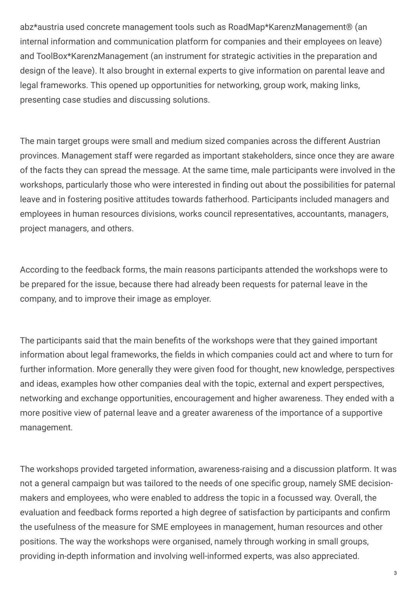abz\*austria used concrete management tools such as RoadMap\*KarenzManagement® (an internal information and communication platform for companies and their employees on leave) and ToolBox\*KarenzManagement (an instrument for strategic activities in the preparation and design of the leave). It also brought in external experts to give information on parental leave and legal frameworks. This opened up opportunities for networking, group work, making links, presenting case studies and discussing solutions.

The main target groups were small and medium sized companies across the different Austrian provinces. Management staff were regarded as important stakeholders, since once they are aware of the facts they can spread the message. At the same time, male participants were involved in the workshops, particularly those who were interested in finding out about the possibilities for paternal leave and in fostering positive attitudes towards fatherhood. Participants included managers and employees in human resources divisions, works council representatives, accountants, managers, project managers, and others.

According to the feedback forms, the main reasons participants attended the workshops were to be prepared for the issue, because there had already been requests for paternal leave in the company, and to improve their image as employer.

The participants said that the main benefits of the workshops were that they gained important information about legal frameworks, the fields in which companies could act and where to turn for further information. More generally they were given food for thought, new knowledge, perspectives and ideas, examples how other companies deal with the topic, external and expert perspectives, networking and exchange opportunities, encouragement and higher awareness. They ended with a more positive view of paternal leave and a greater awareness of the importance of a supportive management.

The workshops provided targeted information, awareness-raising and a discussion platform. It was not a general campaign but was tailored to the needs of one specific group, namely SME decisionmakers and employees, who were enabled to address the topic in a focussed way. Overall, the evaluation and feedback forms reported a high degree of satisfaction by participants and confirm the usefulness of the measure for SME employees in management, human resources and other positions. The way the workshops were organised, namely through working in small groups, providing in-depth information and involving well-informed experts, was also appreciated.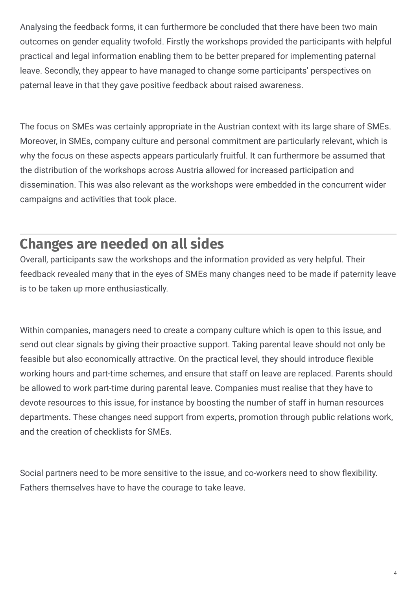Analysing the feedback forms, it can furthermore be concluded that there have been two main outcomes on gender equality twofold. Firstly the workshops provided the participants with helpful practical and legal information enabling them to be better prepared for implementing paternal leave. Secondly, they appear to have managed to change some participants' perspectives on paternal leave in that they gave positive feedback about raised awareness.

The focus on SMEs was certainly appropriate in the Austrian context with its large share of SMEs. Moreover, in SMEs, company culture and personal commitment are particularly relevant, which is why the focus on these aspects appears particularly fruitful. It can furthermore be assumed that the distribution of the workshops across Austria allowed for increased participation and dissemination. This was also relevant as the workshops were embedded in the concurrent wider campaigns and activities that took place.

#### **Changes are needed on all sides**

Overall, participants saw the workshops and the information provided as very helpful. Their feedback revealed many that in the eyes of SMEs many changes need to be made if paternity leave is to be taken up more enthusiastically.

Within companies, managers need to create a company culture which is open to this issue, and send out clear signals by giving their proactive support. Taking parental leave should not only be feasible but also economically attractive. On the practical level, they should introduce flexible working hours and part-time schemes, and ensure that staff on leave are replaced. Parents should be allowed to work part-time during parental leave. Companies must realise that they have to devote resources to this issue, for instance by boosting the number of staff in human resources departments. These changes need support from experts, promotion through public relations work, and the creation of checklists for SMEs.

Social partners need to be more sensitive to the issue, and co-workers need to show flexibility. Fathers themselves have to have the courage to take leave.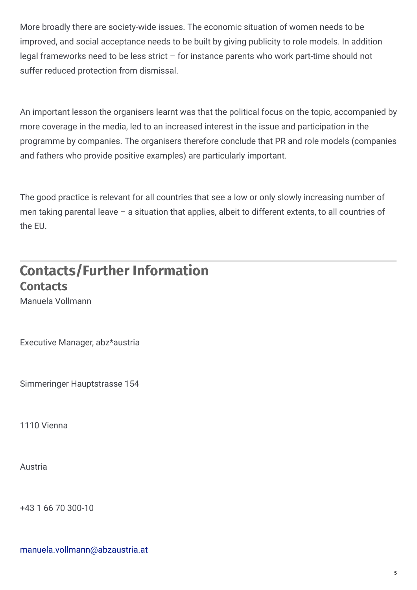More broadly there are society-wide issues. The economic situation of women needs to be improved, and social acceptance needs to be built by giving publicity to role models. In addition legal frameworks need to be less strict – for instance parents who work part-time should not suffer reduced protection from dismissal.

An important lesson the organisers learnt was that the political focus on the topic, accompanied by more coverage in the media, led to an increased interest in the issue and participation in the programme by companies. The organisers therefore conclude that PR and role models (companies and fathers who provide positive examples) are particularly important.

The good practice is relevant for all countries that see a low or only slowly increasing number of men taking parental leave – a situation that applies, albeit to different extents, to all countries of the EU.

### **Contacts/Further Information Contacts**

Manuela Vollmann

Executive Manager, abz\*austria

Simmeringer Hauptstrasse 154

1110 Vienna

Austria

+43 1 66 70 300-10